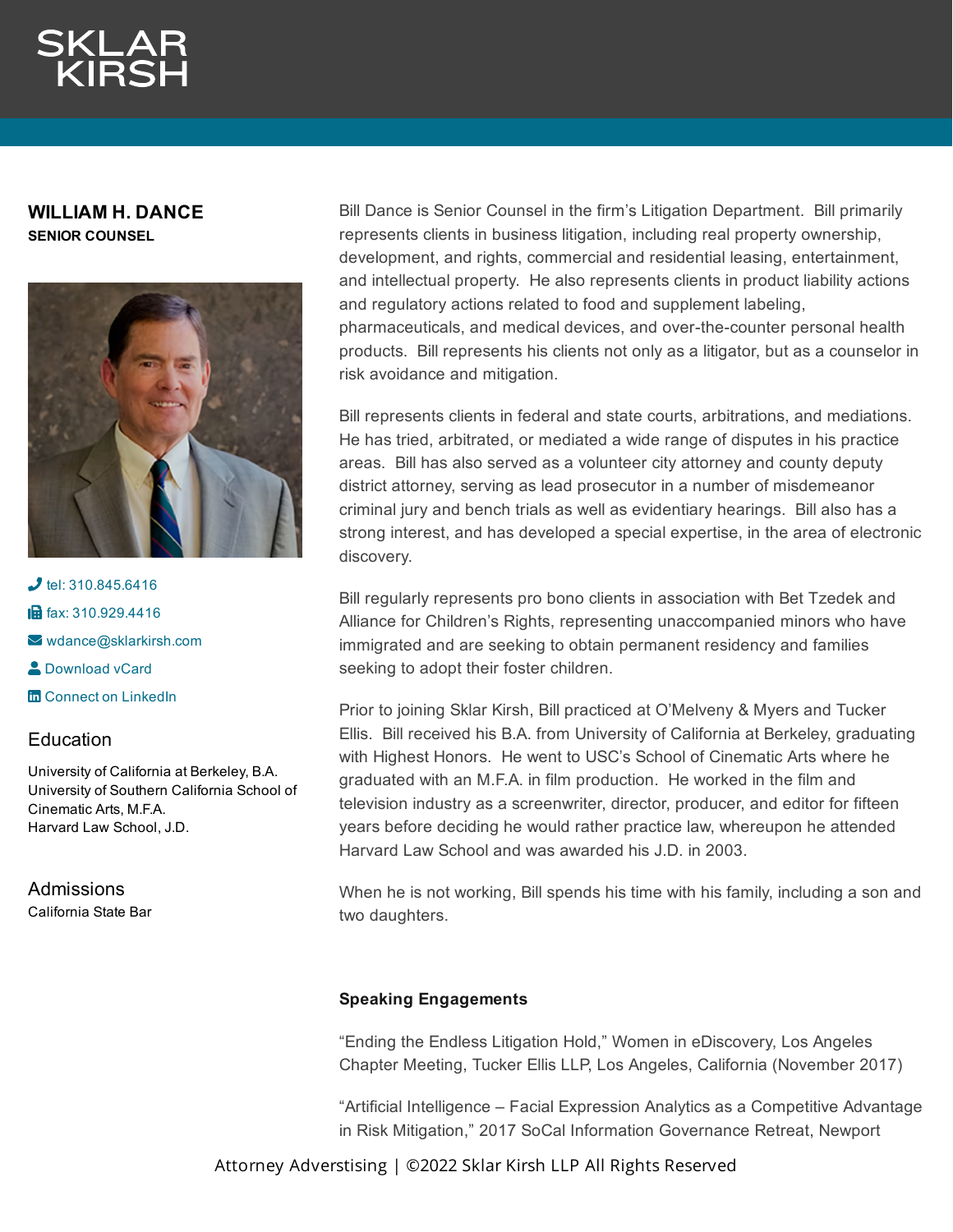**WILLIAM H. DANCE SENIOR COUNSEL**



 $J$  tel: [310.845.6416](tel:310.845.6416) **in** fax: [310.929.4416](fax:310.929.4416)  $\blacktriangleright$  [wdance@sklarkirsh.com](mailto:wdance@sklarkirsh.com) **2** [Download](https://www.sklarkirsh.com/api/vcard?firstName=William&middleName=Henry&lastName=Dance&email=wdance@sklarkirsh.com&position=SENIOR%20COUNSEL&company=Sklar%20Kirsh%20LLP&phone=310.845.6416&fax=310.929.4416&address1=1880%20Century%20Park%20East,%20Ste%20300&city=Los%20Angeles&state=CA&zip=90067&country=US&image=https%253A%252F%252Fres.cloudinary.com%252Fsklar-kirsh-main%252Fimages%252F%252Ff_auto%252Cq_auto%252Fv1644341138%252FWDance2-2_4255aba6b%252FWDance2-2_4255aba6b.jpg%253F_i%253DAA&) vCard **m** Connect on [LinkedIn](https://www.linkedin.com/in/william-dance-a914b37/)

# **Education**

University of California at Berkeley, B.A. University of Southern California School of Cinematic Arts, M.F.A. Harvard Law School, J.D.

Admissions California State Bar Bill Dance is Senior Counsel in the firm's Litigation Department. Bill primarily represents clients in business litigation, including real property ownership, development, and rights, commercial and residential leasing, entertainment, and intellectual property. He also represents clients in product liability actions and regulatory actions related to food and supplement labeling, pharmaceuticals, and medical devices, and over-the-counter personal health products. Bill represents his clients not only as a litigator, but as a counselor in risk avoidance and mitigation.

Bill represents clients in federal and state courts, arbitrations, and mediations. He has tried, arbitrated, or mediated a wide range of disputes in his practice areas. Bill has also served as a volunteer city attorney and county deputy district attorney, serving as lead prosecutor in a number of misdemeanor criminal jury and bench trials as well as evidentiary hearings. Bill also has a strong interest, and has developed a special expertise, in the area of electronic discovery.

Bill regularly represents pro bono clients in association with Bet Tzedek and Alliance for Children's Rights, representing unaccompanied minors who have immigrated and are seeking to obtain permanent residency and families seeking to adopt their foster children.

Prior to joining Sklar Kirsh, Bill practiced at O'Melveny & Myers and Tucker Ellis. Bill received his B.A. from University of California at Berkeley, graduating with Highest Honors. He went to USC's School of Cinematic Arts where he graduated with an M.F.A. in film production. He worked in the film and television industry as a screenwriter, director, producer, and editor for fifteen years before deciding he would rather practice law, whereupon he attended Harvard Law School and was awarded his J.D. in 2003.

When he is not working, Bill spends his time with his family, including a son and two daughters.

## **Speaking Engagements**

"Ending the Endless Litigation Hold," Women in eDiscovery, Los Angeles Chapter Meeting, Tucker Ellis LLP, Los Angeles, California (November 2017)

"Artificial Intelligence – Facial Expression Analytics as a Competitive Advantage in Risk Mitigation," 2017 SoCal Information Governance Retreat, Newport

Attorney Adverstising | ©2022 Sklar Kirsh LLP All Rights Reserved